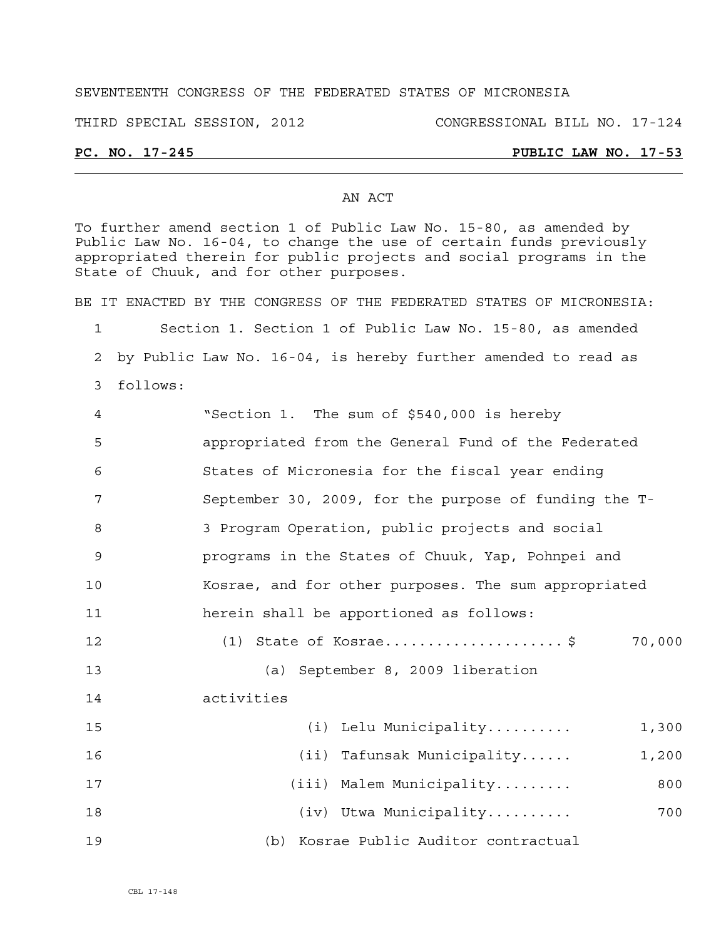#### SEVENTEENTH CONGRESS OF THE FEDERATED STATES OF MICRONESIA

THIRD SPECIAL SESSION, 2012 CONGRESSIONAL BILL NO. 17-124

# **PC. NO. 17-245 PUBLIC LAW NO. 17-53**

#### AN ACT

To further amend section 1 of Public Law No. 15-80, as amended by Public Law No. 16-04, to change the use of certain funds previously appropriated therein for public projects and social programs in the State of Chuuk, and for other purposes.

BE IT ENACTED BY THE CONGRESS OF THE FEDERATED STATES OF MICRONESIA: 1 Section 1. Section 1 of Public Law No. 15-80, as amended

2 by Public Law No. 16-04, is hereby further amended to read as

3 follows:

| 4  | "Section 1. The sum of \$540,000 is hereby            |
|----|-------------------------------------------------------|
| 5  | appropriated from the General Fund of the Federated   |
| 6  | States of Micronesia for the fiscal year ending       |
| 7  | September 30, 2009, for the purpose of funding the T- |
| 8  | 3 Program Operation, public projects and social       |
| 9  | programs in the States of Chuuk, Yap, Pohnpei and     |
| 10 | Kosrae, and for other purposes. The sum appropriated  |
| 11 | herein shall be apportioned as follows:               |
| 12 | (1) State of Kosrae\$<br>70,000                       |
| 13 | (a) September 8, 2009 liberation                      |
| 14 | activities                                            |
| 15 | (i) Lelu Municipality<br>1,300                        |
| 16 | (ii) Tafunsak Municipality<br>1,200                   |
| 17 | (iii) Malem Municipality<br>800                       |
| 18 | (iv) Utwa Municipality<br>700                         |
| 19 | (b) Kosrae Public Auditor contractual                 |

CBL 17-148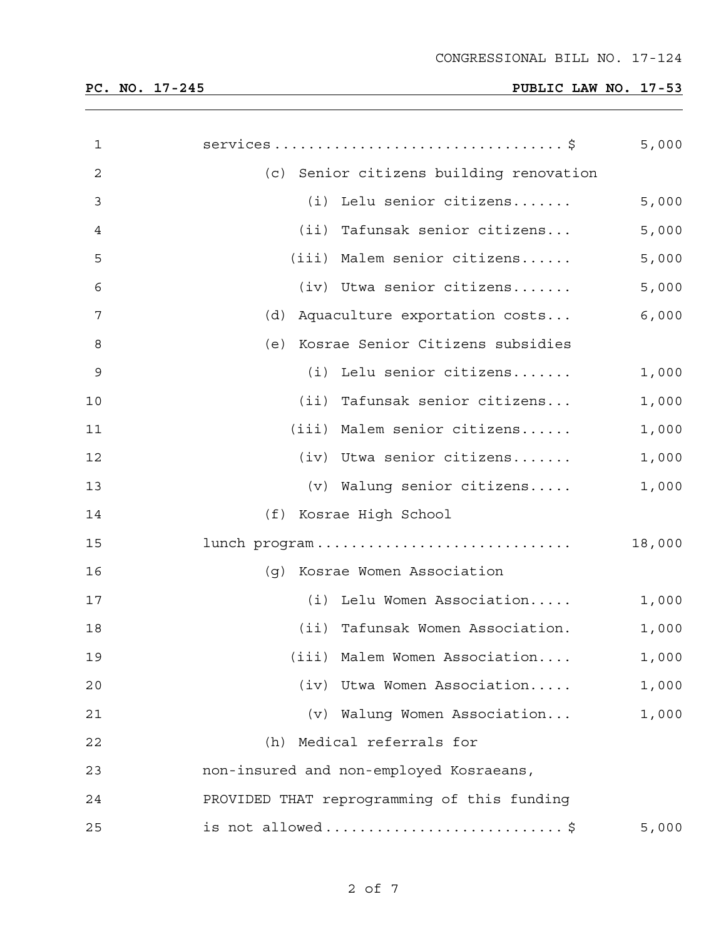| $\mathbf 1$ |                                             | 5,000  |
|-------------|---------------------------------------------|--------|
| 2           | (c) Senior citizens building renovation     |        |
| 3           | (i) Lelu senior citizens                    | 5,000  |
| 4           | (ii) Tafunsak senior citizens               | 5,000  |
| 5           | (iii) Malem senior citizens                 | 5,000  |
| 6           | $(iv)$ Utwa senior citizens                 | 5,000  |
| 7           | (d) Aquaculture exportation costs           | 6,000  |
| 8           | (e) Kosrae Senior Citizens subsidies        |        |
| 9           | (i) Lelu senior citizens                    | 1,000  |
| 10          | (ii) Tafunsak senior citizens               | 1,000  |
| 11          | (iii) Malem senior citizens                 | 1,000  |
| 12          | (iv) Utwa senior citizens                   | 1,000  |
| 13          | (v) Walung senior citizens                  | 1,000  |
| 14          | (f) Kosrae High School                      |        |
| 15          | lunch program                               | 18,000 |
| 16          | (g) Kosrae Women Association                |        |
| 17          | (i) Lelu Women Association                  | 1,000  |
| 18          | (ii) Tafunsak Women Association.            | 1,000  |
| 19          | (iii) Malem Women Association               | 1,000  |
| 20          | (iv) Utwa Women Association                 | 1,000  |
| 21          | (v) Walung Women Association                | 1,000  |
| 22          | (h) Medical referrals for                   |        |
| 23          | non-insured and non-employed Kosraeans,     |        |
| 24          | PROVIDED THAT reprogramming of this funding |        |
| 25          | is not allowed\$                            | 5,000  |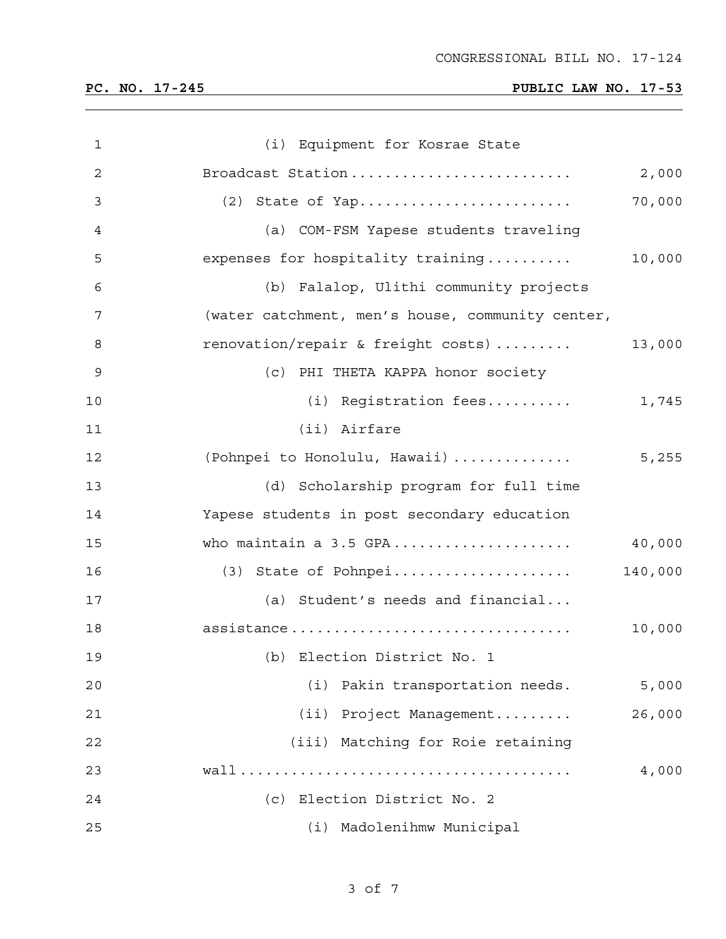| 1  | (i) Equipment for Kosrae State                   |         |
|----|--------------------------------------------------|---------|
| 2  | Broadcast Station                                | 2,000   |
| 3  |                                                  | 70,000  |
| 4  | (a) COM-FSM Yapese students traveling            |         |
| 5  | expenses for hospitality training                | 10,000  |
| 6  | (b) Falalop, Ulithi community projects           |         |
| 7  | (water catchment, men's house, community center, |         |
| 8  | renovation/repair & freight costs)               | 13,000  |
| 9  | (c) PHI THETA KAPPA honor society                |         |
| 10 | (i) Registration fees                            | 1,745   |
| 11 | (ii) Airfare                                     |         |
| 12 | (Pohnpei to Honolulu, Hawaii)                    | 5,255   |
| 13 | (d) Scholarship program for full time            |         |
| 14 | Yapese students in post secondary education      |         |
| 15 | who maintain a 3.5 GPA                           | 40,000  |
| 16 | $(3)$ State of Pohnpei                           | 140,000 |
| 17 | (a) Student's needs and financial                |         |
| 18 | assistance                                       | 10,000  |
| 19 | (b) Election District No. 1                      |         |
| 20 | (i) Pakin transportation needs.                  | 5,000   |
| 21 | (ii) Project Management                          | 26,000  |
| 22 | (iii) Matching for Roie retaining                |         |
| 23 |                                                  | 4,000   |
| 24 | (c) Election District No. 2                      |         |
| 25 | Madolenihmw Municipal<br>(i)                     |         |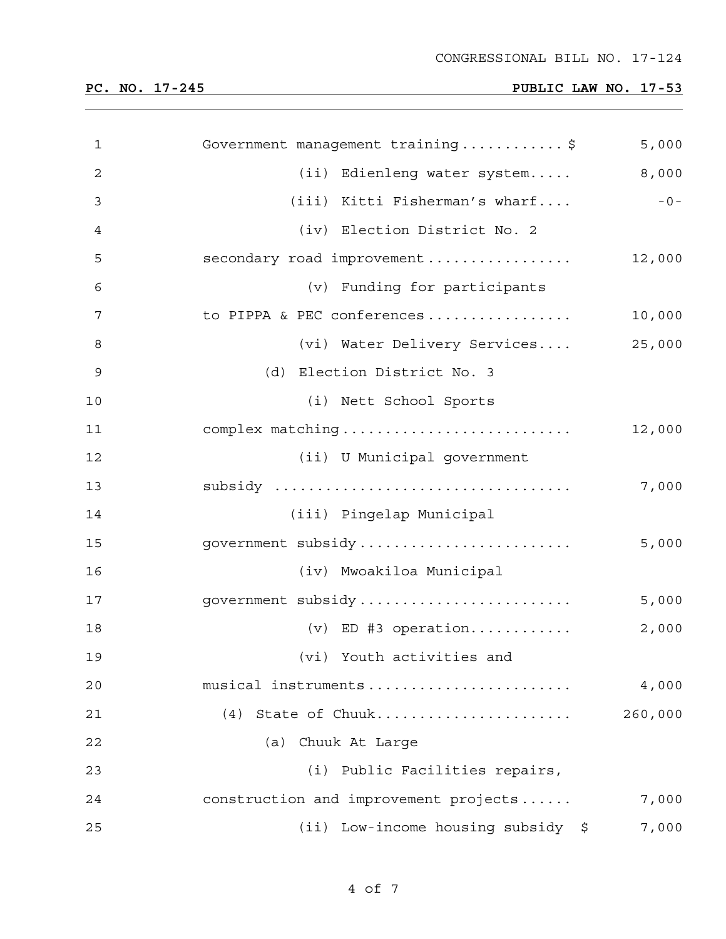CONGRESSIONAL BILL NO. 17-124

| 1            | Government management training\$      | 5,000   |
|--------------|---------------------------------------|---------|
| $\mathbf{2}$ | (ii) Edienleng water system           | 8,000   |
| 3            | (iii) Kitti Fisherman's wharf         | $-0-$   |
| 4            | (iv) Election District No. 2          |         |
| 5            | secondary road improvement            | 12,000  |
| 6            | (v) Funding for participants          |         |
| 7            | to PIPPA & PEC conferences            | 10,000  |
| 8            | (vi) Water Delivery Services          | 25,000  |
| 9            | (d) Election District No. 3           |         |
| 10           | (i) Nett School Sports                |         |
| 11           | complex matching                      | 12,000  |
| 12           | (ii) U Municipal government           |         |
| 13           | subsidy                               | 7,000   |
| 14           | (iii) Pingelap Municipal              |         |
| 15           | government subsidy                    | 5,000   |
| 16           | (iv) Mwoakiloa Municipal              |         |
| 17           | government subsidy                    | 5,000   |
| 18           | $(v)$ ED #3 operation                 | 2,000   |
| 19           | (vi) Youth activities and             |         |
| 20           | musical instruments                   | 4,000   |
| 21           | (4) State of Chuuk                    | 260,000 |
| 22           | (a) Chuuk At Large                    |         |
| 23           | (i) Public Facilities repairs,        |         |
| 24           | construction and improvement projects | 7,000   |
| 25           | (ii) Low-income housing subsidy \$    | 7,000   |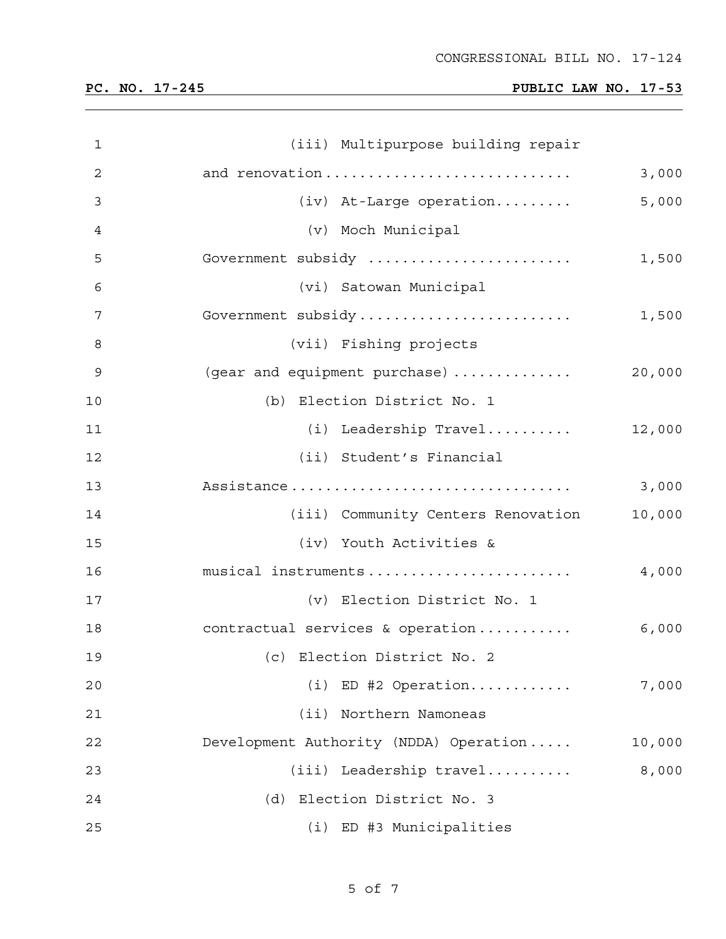| $\mathbf{1}$ | (iii) Multipurpose building repair     |        |
|--------------|----------------------------------------|--------|
| 2            | and renovation                         | 3,000  |
| 3            | $(iv)$ At-Large operation              | 5,000  |
| 4            | (v) Moch Municipal                     |        |
| 5            | Government subsidy                     | 1,500  |
| 6            | (vi) Satowan Municipal                 |        |
| 7            | Government subsidy                     | 1,500  |
| 8            | (vii) Fishing projects                 |        |
| 9            | (gear and equipment purchase)          | 20,000 |
| 10           | (b) Election District No. 1            |        |
| 11           | $(i)$ Leadership Travel                | 12,000 |
| 12           | (ii) Student's Financial               |        |
| 13           | Assistance                             | 3,000  |
| 14           | (iii) Community Centers Renovation     | 10,000 |
| 15           | (iv) Youth Activities &                |        |
| 16           | musical instruments                    | 4,000  |
| 17           | (v) Election District No. 1            |        |
| 18           | contractual services & operation       | 6,000  |
| 19           | (c) Election District No. 2            |        |
| 20           | $(i)$ ED #2 Operation                  | 7,000  |
| 21           | Northern Namoneas<br>(i <sub>i</sub> ) |        |
| 22           | Development Authority (NDDA) Operation | 10,000 |
| 23           | $(iii)$ Leadership travel              | 8,000  |
| 24           | (d) Election District No. 3            |        |
| 25           | (i) ED #3 Municipalities               |        |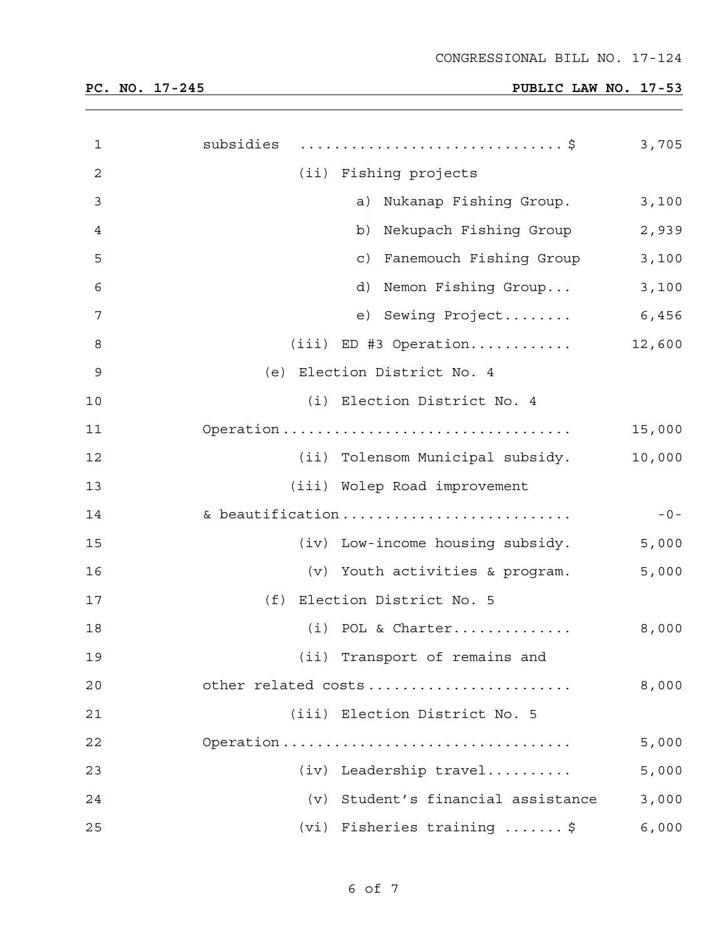| $\mathbf 1$ | subsidies \$                          | 3,705  |
|-------------|---------------------------------------|--------|
| 2           | (ii) Fishing projects                 |        |
| 3           | Nukanap Fishing Group.<br>a)          | 3,100  |
| 4           | Nekupach Fishing Group<br>b)          | 2,939  |
| 5           | Fanemouch Fishing Group<br>$\circ$ )  | 3,100  |
| 6           | d)<br>Nemon Fishing Group             | 3,100  |
| 7           | e) Sewing Project                     | 6,456  |
| 8           | $(iii)$ ED #3 Operation               | 12,600 |
| $\mathsf 9$ | (e) Election District No. 4           |        |
| $10$        | (i) Election District No. 4           |        |
| 11          | Operation                             | 15,000 |
| 12          | (ii) Tolensom Municipal subsidy.      | 10,000 |
| 13          | (iii) Wolep Road improvement          |        |
| 14          | & beautification                      | $-0-$  |
| 15          | (iv) Low-income housing subsidy.      | 5,000  |
| 16          | (v) Youth activities & program.       | 5,000  |
| 17          | (f) Election District No. 5           |        |
| 18          | $(i)$ POL & Charter                   | 8,000  |
| 19          | (ii) Transport of remains and         |        |
| 20          | other related costs                   | 8,000  |
| 21          | (iii) Election District No. 5         |        |
| 22          | Operation                             | 5,000  |
| 23          | (iv) Leadership travel                | 5,000  |
| 24          | Student's financial assistance<br>(v) | 3,000  |
| 25          | $(vi)$ Fisheries training  \$         | 6,000  |